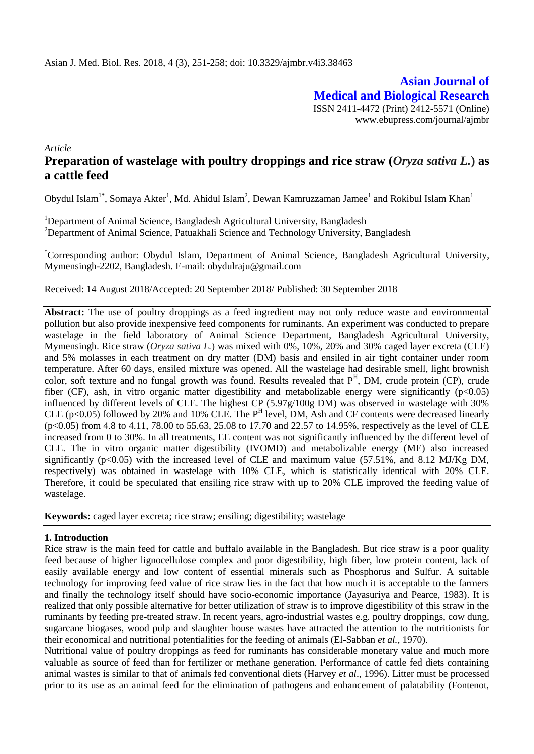**Asian Journal of Medical and Biological Research** ISSN 2411-4472 (Print) 2412-5571 (Online) www.ebupress.com/journal/ajmbr

*Article*

# **Preparation of wastelage with poultry droppings and rice straw (***Oryza sativa L.***) as a cattle feed**

Obydul Islam<sup>1\*</sup>, Somaya Akter<sup>1</sup>, Md. Ahidul Islam<sup>2</sup>, Dewan Kamruzzaman Jamee<sup>1</sup> and Rokibul Islam Khan<sup>1</sup>

<sup>1</sup>Department of Animal Science, Bangladesh Agricultural University, Bangladesh <sup>2</sup>Department of Animal Science, Patuakhali Science and Technology University, Bangladesh

\*Corresponding author: Obydul Islam, Department of Animal Science, Bangladesh Agricultural University, Mymensingh-2202, Bangladesh. E-mail: [obydulraju@gmail.com](mailto:obydulraju@gmail.com)

Received: 14 August 2018/Accepted: 20 September 2018/ Published: 30 September 2018

Abstract: The use of poultry droppings as a feed ingredient may not only reduce waste and environmental pollution but also provide inexpensive feed components for ruminants. An experiment was conducted to prepare wastelage in the field laboratory of Animal Science Department, Bangladesh Agricultural University, Mymensingh. Rice straw (*Oryza sativa L.*) was mixed with 0%, 10%, 20% and 30% caged layer excreta (CLE) and 5% molasses in each treatment on dry matter (DM) basis and ensiled in air tight container under room temperature. After 60 days, ensiled mixture was opened. All the wastelage had desirable smell, light brownish color, soft texture and no fungal growth was found. Results revealed that P<sup>H</sup>, DM, crude protein (CP), crude fiber (CF), ash, in vitro organic matter digestibility and metabolizable energy were significantly ( $p<0.05$ ) influenced by different levels of CLE. The highest CP (5.97g/100g DM) was observed in wastelage with 30% CLE ( $p<0.05$ ) followed by 20% and 10% CLE. The  $P<sup>H</sup>$  level, DM, Ash and CF contents were decreased linearly (p<0.05) from 4.8 to 4.11, 78.00 to 55.63, 25.08 to 17.70 and 22.57 to 14.95%, respectively as the level of CLE increased from 0 to 30%. In all treatments, EE content was not significantly influenced by the different level of CLE. The in vitro organic matter digestibility (IVOMD) and metabolizable energy (ME) also increased significantly ( $p \le 0.05$ ) with the increased level of CLE and maximum value (57.51%, and 8.12 MJ/Kg DM, respectively) was obtained in wastelage with 10% CLE, which is statistically identical with 20% CLE. Therefore, it could be speculated that ensiling rice straw with up to 20% CLE improved the feeding value of wastelage.

**Keywords:** caged layer excreta; rice straw; ensiling; digestibility; wastelage

### **1. Introduction**

Rice straw is the main feed for cattle and buffalo available in the Bangladesh. But rice straw is a poor quality feed because of higher lignocellulose complex and poor digestibility, high fiber, low protein content, lack of easily available energy and low content of essential minerals such as Phosphorus and Sulfur. A suitable technology for improving feed value of rice straw lies in the fact that how much it is acceptable to the farmers and finally the technology itself should have socio-economic importance (Jayasuriya and Pearce, 1983). It is realized that only possible alternative for better utilization of straw is to improve digestibility of this straw in the ruminants by feeding pre-treated straw. In recent years, agro-industrial wastes e.g. poultry droppings, cow dung, sugarcane biogases, wood pulp and slaughter house wastes have attracted the attention to the nutritionists for their economical and nutritional potentialities for the feeding of animals (El-Sabban *et al.,* 1970).

Nutritional value of poultry droppings as feed for ruminants has considerable monetary value and much more valuable as source of feed than for fertilizer or methane generation. Performance of cattle fed diets containing animal wastes is similar to that of animals fed conventional diets (Harvey *et al*., 1996). Litter must be processed prior to its use as an animal feed for the elimination of pathogens and enhancement of palatability (Fontenot,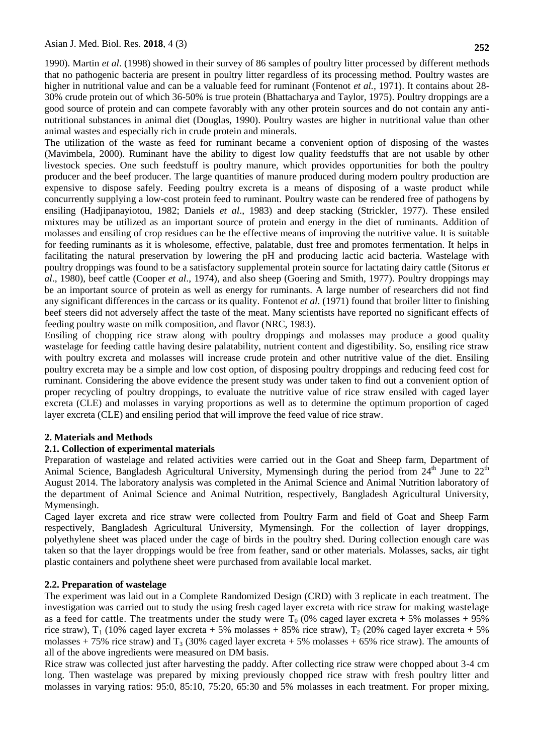1990). Martin *et al*. (1998) showed in their survey of 86 samples of poultry litter processed by different methods that no pathogenic bacteria are present in poultry litter regardless of its processing method. Poultry wastes are higher in nutritional value and can be a valuable feed for ruminant (Fontenot *et al.,* 1971). It contains about 28- 30% crude protein out of which 36-50% is true protein (Bhattacharya and Taylor, 1975). Poultry droppings are a good source of protein and can compete favorably with any other protein sources and do not contain any antinutritional substances in animal diet (Douglas, 1990). Poultry wastes are higher in nutritional value than other animal wastes and especially rich in crude protein and minerals.

The utilization of the waste as feed for ruminant became a convenient option of disposing of the wastes (Mavimbela, 2000). Ruminant have the ability to digest low quality feedstuffs that are not usable by other livestock species. One such feedstuff is poultry manure, which provides opportunities for both the poultry producer and the beef producer. The large quantities of manure produced during modern poultry production are expensive to dispose safely. Feeding poultry excreta is a means of disposing of a waste product while concurrently supplying a low-cost protein feed to ruminant. Poultry waste can be rendered free of pathogens by ensiling (Hadjipanayiotou, 1982; Daniels *et al*., 1983) and deep stacking (Strickler, 1977). These ensiled mixtures may be utilized as an important source of protein and energy in the diet of ruminants. Addition of molasses and ensiling of crop residues can be the effective means of improving the nutritive value. It is suitable for feeding ruminants as it is wholesome, effective, palatable, dust free and promotes fermentation. It helps in facilitating the natural preservation by lowering the pH and producing lactic acid bacteria. Wastelage with poultry droppings was found to be a satisfactory supplemental protein source for lactating dairy cattle (Sitorus *et al*., 1980), beef cattle (Cooper *et al*., 1974), and also sheep (Goering and Smith, 1977). Poultry droppings may be an important source of protein as well as energy for ruminants. A large number of researchers did not find any significant differences in the carcass or its quality. Fontenot *et al*. (1971) found that broiler litter to finishing beef steers did not adversely affect the taste of the meat. Many scientists have reported no significant effects of feeding poultry waste on milk composition, and flavor (NRC, 1983).

Ensiling of chopping rice straw along with poultry droppings and molasses may produce a good quality wastelage for feeding cattle having desire palatability, nutrient content and digestibility. So, ensiling rice straw with poultry excreta and molasses will increase crude protein and other nutritive value of the diet. Ensiling poultry excreta may be a simple and low cost option, of disposing poultry droppings and reducing feed cost for ruminant. Considering the above evidence the present study was under taken to find out a convenient option of proper recycling of poultry droppings, to evaluate the nutritive value of rice straw ensiled with caged layer excreta (CLE) and molasses in varying proportions as well as to determine the optimum proportion of caged layer excreta (CLE) and ensiling period that will improve the feed value of rice straw.

## **2. Materials and Methods**

### **2.1. Collection of experimental materials**

Preparation of wastelage and related activities were carried out in the Goat and Sheep farm, Department of Animal Science, Bangladesh Agricultural University, Mymensingh during the period from  $24<sup>th</sup>$  June to  $22<sup>th</sup>$ August 2014. The laboratory analysis was completed in the Animal Science and Animal Nutrition laboratory of the department of Animal Science and Animal Nutrition, respectively, Bangladesh Agricultural University, Mymensingh.

Caged layer excreta and rice straw were collected from Poultry Farm and field of Goat and Sheep Farm respectively, Bangladesh Agricultural University, Mymensingh. For the collection of layer droppings, polyethylene sheet was placed under the cage of birds in the poultry shed. During collection enough care was taken so that the layer droppings would be free from feather, sand or other materials. Molasses, sacks, air tight plastic containers and polythene sheet were purchased from available local market.

### **2.2. Preparation of wastelage**

The experiment was laid out in a Complete Randomized Design (CRD) with 3 replicate in each treatment. The investigation was carried out to study the using fresh caged layer excreta with rice straw for making wastelage as a feed for cattle. The treatments under the study were  $T_0$  (0% caged layer excreta + 5% molasses + 95%) rice straw),  $T_1$  (10% caged layer excreta + 5% molasses + 85% rice straw),  $T_2$  (20% caged layer excreta + 5% molasses + 75% rice straw) and  $T_3$  (30% caged layer excreta + 5% molasses + 65% rice straw). The amounts of all of the above ingredients were measured on DM basis.

Rice straw was collected just after harvesting the paddy. After collecting rice straw were chopped about 3-4 cm long. Then wastelage was prepared by mixing previously chopped rice straw with fresh poultry litter and molasses in varying ratios: 95:0, 85:10, 75:20, 65:30 and 5% molasses in each treatment. For proper mixing,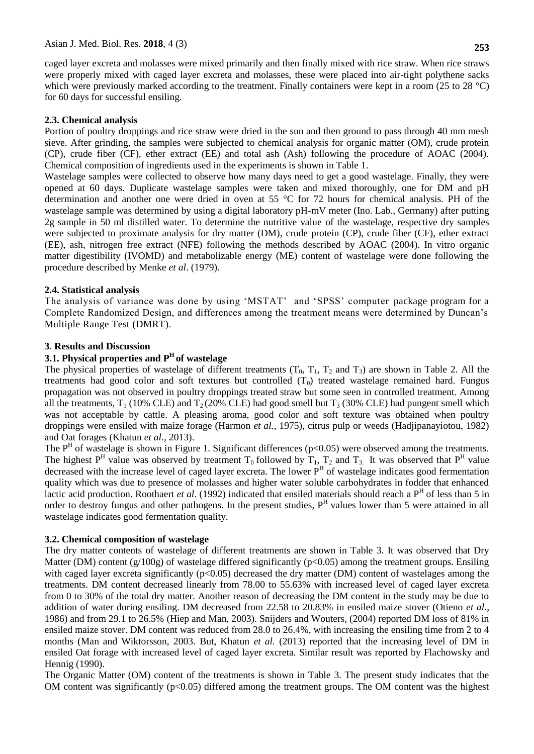caged layer excreta and molasses were mixed primarily and then finally mixed with rice straw. When rice straws were properly mixed with caged layer excreta and molasses, these were placed into air-tight polythene sacks which were previously marked according to the treatment. Finally containers were kept in a room (25 to 28 °C) for 60 days for successful ensiling.

## **2.3. Chemical analysis**

Portion of poultry droppings and rice straw were dried in the sun and then ground to pass through 40 mm mesh sieve. After grinding, the samples were subjected to chemical analysis for organic matter (OM), crude protein (CP), crude fiber (CF), ether extract (EE) and total ash (Ash) following the procedure of AOAC (2004). Chemical composition of ingredients used in the experiments is shown in Table 1.

Wastelage samples were collected to observe how many days need to get a good wastelage. Finally, they were opened at 60 days. Duplicate wastelage samples were taken and mixed thoroughly, one for DM and pH determination and another one were dried in oven at 55 °C for 72 hours for chemical analysis. PH of the wastelage sample was determined by using a digital laboratory pH-mV meter (Ino. Lab., Germany) after putting 2g sample in 50 ml distilled water. To determine the nutritive value of the wastelage, respective dry samples were subjected to proximate analysis for dry matter (DM), crude protein (CP), crude fiber (CF), ether extract (EE), ash, nitrogen free extract (NFE) following the methods described by AOAC (2004). In vitro organic matter digestibility (IVOMD) and metabolizable energy (ME) content of wastelage were done following the procedure described by Menke *et al*. (1979).

## **2.4. Statistical analysis**

The analysis of variance was done by using 'MSTAT' and 'SPSS' computer package program for a Complete Randomized Design, and differences among the treatment means were determined by Duncan's Multiple Range Test (DMRT).

## **3**. **Results and Discussion**

## **3.1. Physical properties and P<sup>H</sup>of wastelage**

The physical properties of wastelage of different treatments  $(T_0, T_1, T_2, T_3)$  are shown in Table 2. All the treatments had good color and soft textures but controlled  $(T_0)$  treated wastelage remained hard. Fungus propagation was not observed in poultry droppings treated straw but some seen in controlled treatment. Among all the treatments,  $T_1$  (10% CLE) and  $T_2$  (20% CLE) had good smell but  $T_3$  (30% CLE) had pungent smell which was not acceptable by cattle. A pleasing aroma, good color and soft texture was obtained when poultry droppings were ensiled with maize forage (Harmon *et al.,* 1975), citrus pulp or weeds (Hadjipanayiotou, 1982) and Oat forages (Khatun *et al.,* 2013).

The  $P<sup>H</sup>$  of wastelage is shown in Figure 1. Significant differences ( $p<0.05$ ) were observed among the treatments. The highest  $P^H$  value was observed by treatment  $T_0$  followed by  $T_1$ ,  $T_2$  and  $T_3$ . It was observed that  $P^H$  value decreased with the increase level of caged layer excreta. The lower  $P<sup>H</sup>$  of wastelage indicates good fermentation quality which was due to presence of molasses and higher water soluble carbohydrates in fodder that enhanced lactic acid production. Roothaert *et al.* (1992) indicated that ensiled materials should reach a P<sup>H</sup> of less than 5 in order to destroy fungus and other pathogens. In the present studies, P<sup>H</sup> values lower than 5 were attained in all wastelage indicates good fermentation quality.

### **3.2. Chemical composition of wastelage**

The dry matter contents of wastelage of different treatments are shown in Table 3. It was observed that Dry Matter (DM) content  $(g/100g)$  of wastelage differed significantly (p<0.05) among the treatment groups. Ensiling with caged layer excreta significantly ( $p<0.05$ ) decreased the dry matter (DM) content of wastelages among the treatments. DM content decreased linearly from 78.00 to 55.63% with increased level of caged layer excreta from 0 to 30% of the total dry matter. Another reason of decreasing the DM content in the study may be due to addition of water during ensiling. DM decreased from 22.58 to 20.83% in ensiled maize stover (Otieno *et al.,* 1986) and from 29.1 to 26.5% (Hiep and Man, 2003). Snijders and Wouters, (2004) reported DM loss of 81% in ensiled maize stover. DM content was reduced from 28.0 to 26.4%, with increasing the ensiling time from 2 to 4 months (Man and Wiktorsson, 2003. But, Khatun *et al.* (2013) reported that the increasing level of DM in ensiled Oat forage with increased level of caged layer excreta. Similar result was reported by Flachowsky and Hennig (1990).

The Organic Matter (OM) content of the treatments is shown in Table 3. The present study indicates that the OM content was significantly  $(p<0.05)$  differed among the treatment groups. The OM content was the highest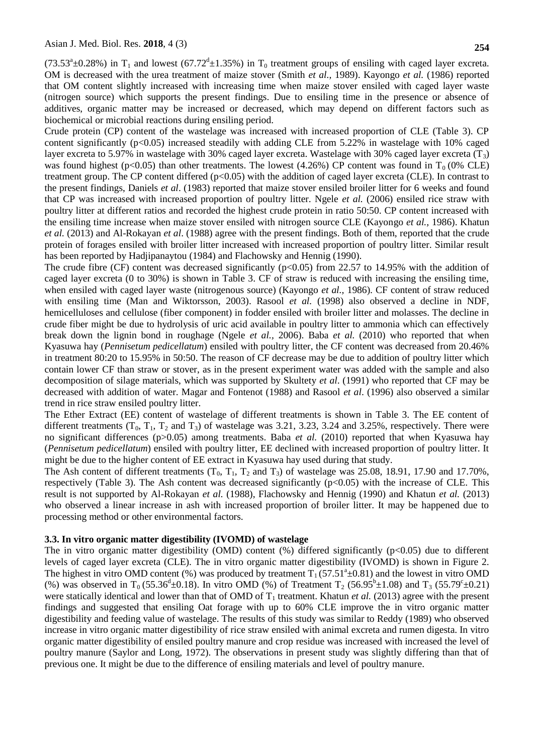(73.53<sup>a</sup>±0.28%) in T<sub>1</sub> and lowest (67.72<sup>d</sup>±1.35%) in T<sub>0</sub> treatment groups of ensiling with caged layer excreta. OM is decreased with the urea treatment of maize stover (Smith *et al.,* 1989). Kayongo *et al.* (1986) reported that OM content slightly increased with increasing time when maize stover ensiled with caged layer waste (nitrogen source) which supports the present findings. Due to ensiling time in the presence or absence of additives, organic matter may be increased or decreased, which may depend on different factors such as biochemical or microbial reactions during ensiling period.

Crude protein (CP) content of the wastelage was increased with increased proportion of CLE (Table 3). CP content significantly ( $p<0.05$ ) increased steadily with adding CLE from 5.22% in wastelage with 10% caged layer excreta to 5.97% in wastelage with 30% caged layer excreta. Wastelage with 30% caged layer excreta (T3) was found highest (p<0.05) than other treatments. The lowest (4.26%) CP content was found in  $T_0$  (0% CLE) treatment group. The CP content differed  $(p<0.05)$  with the addition of caged layer excreta (CLE). In contrast to the present findings, Daniels *et al*. (1983) reported that maize stover ensiled broiler litter for 6 weeks and found that CP was increased with increased proportion of poultry litter. Ngele *et al.* (2006) ensiled rice straw with poultry litter at different ratios and recorded the highest crude protein in ratio 50:50. CP content increased with the ensiling time increase when maize stover ensiled with nitrogen source CLE (Kayongo *et al.,* 1986). Khatun *et al.* (2013) and Al-Rokayan *et al*. (1988) agree with the present findings. Both of them, reported that the crude protein of forages ensiled with broiler litter increased with increased proportion of poultry litter. Similar result has been reported by Hadjipanaytou (1984) and Flachowsky and Hennig (1990).

The crude fibre (CF) content was decreased significantly  $(p<0.05)$  from 22.57 to 14.95% with the addition of caged layer excreta (0 to 30%) is shown in Table 3. CF of straw is reduced with increasing the ensiling time, when ensiled with caged layer waste (nitrogenous source) (Kayongo *et al.,* 1986). CF content of straw reduced with ensiling time (Man and Wiktorsson, 2003). Rasool *et al.* (1998) also observed a decline in NDF, hemicelluloses and cellulose (fiber component) in fodder ensiled with broiler litter and molasses. The decline in crude fiber might be due to hydrolysis of uric acid available in poultry litter to ammonia which can effectively break down the lignin bond in roughage (Ngele *et al.,* 2006). Baba *et al.* (2010) who reported that when Kyasuwa hay (*Pennisetum pedicellatum*) ensiled with poultry litter, the CF content was decreased from 20.46% in treatment 80:20 to 15.95% in 50:50. The reason of CF decrease may be due to addition of poultry litter which contain lower CF than straw or stover, as in the present experiment water was added with the sample and also decomposition of silage materials, which was supported by Skultety *et al*. (1991) who reported that CF may be decreased with addition of water. Magar and Fontenot (1988) and Rasool *et al*. (1996) also observed a similar trend in rice straw ensiled poultry litter.

The Ether Extract (EE) content of wastelage of different treatments is shown in Table 3. The EE content of different treatments  $(T_0, T_1, T_2, T_3)$  of wastelage was 3.21, 3.23, 3.24 and 3.25%, respectively. There were no significant differences (p>0.05) among treatments. Baba *et al.* (2010) reported that when Kyasuwa hay (*Pennisetum pedicellatum*) ensiled with poultry litter, EE declined with increased proportion of poultry litter. It might be due to the higher content of EE extract in Kyasuwa hay used during that study.

The Ash content of different treatments  $(T_0, T_1, T_2, T_3)$  of wastelage was 25.08, 18.91, 17.90 and 17.70%, respectively (Table 3). The Ash content was decreased significantly (p<0.05) with the increase of CLE. This result is not supported by Al-Rokayan *et al.* (1988), Flachowsky and Hennig (1990) and Khatun *et al.* (2013) who observed a linear increase in ash with increased proportion of broiler litter. It may be happened due to processing method or other environmental factors.

### **3.3. In vitro organic matter digestibility (IVOMD) of wastelage**

The in vitro organic matter digestibility (OMD) content  $\%$ ) differed significantly (p<0.05) due to different levels of caged layer excreta (CLE). The in vitro organic matter digestibility (IVOMD) is shown in Figure 2. The highest in vitro OMD content (%) was produced by treatment  $T_1$  (57.51<sup>a</sup>±0.81) and the lowest in vitro OMD (%) was observed in T<sub>0</sub> (55.36<sup>d</sup>±0.18). In vitro OMD (%) of Treatment T<sub>2</sub> (56.95<sup>b</sup>±1.08) and T<sub>3</sub> (55.79<sup>c</sup>±0.21) were statically identical and lower than that of OMD of  $T_1$  treatment. Khatun *et al.* (2013) agree with the present findings and suggested that ensiling Oat forage with up to 60% CLE improve the in vitro organic matter digestibility and feeding value of wastelage. The results of this study was similar to Reddy (1989) who observed increase in vitro organic matter digestibility of rice straw ensiled with animal excreta and rumen digesta. In vitro organic matter digestibility of ensiled poultry manure and crop residue was increased with increased the level of poultry manure (Saylor and Long, 1972). The observations in present study was slightly differing than that of previous one. It might be due to the difference of ensiling materials and level of poultry manure.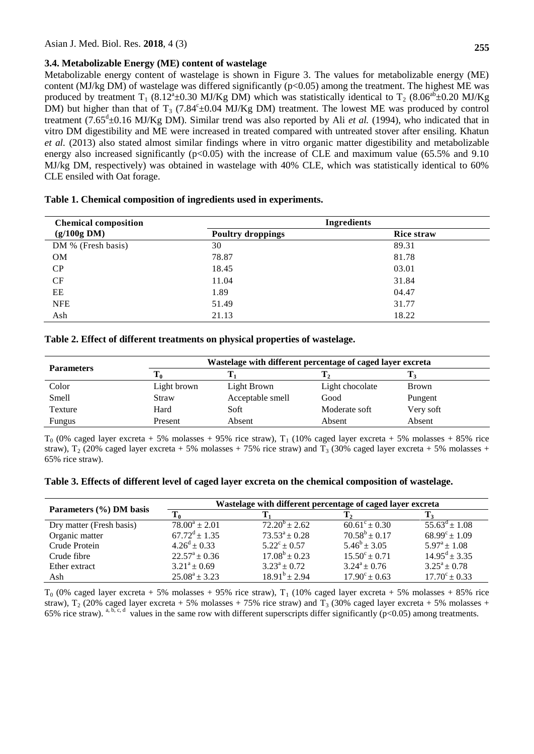#### **3.4. Metabolizable Energy (ME) content of wastelage**

Metabolizable energy content of wastelage is shown in Figure 3. The values for metabolizable energy (ME) content (MJ/kg DM) of wastelage was differed significantly ( $p<0.05$ ) among the treatment. The highest ME was produced by treatment T<sub>1</sub> (8.12<sup>a</sup>±0.30 MJ/Kg DM) which was statistically identical to T<sub>2</sub> (8.06<sup>ab</sup>±0.20 MJ/Kg DM) but higher than that of T<sub>3</sub> (7.84° $\pm$ 0.04 MJ/Kg DM) treatment. The lowest ME was produced by control treatment (7.65<sup>d</sup>±0.16 MJ/Kg DM). Similar trend was also reported by Ali *et al.* (1994), who indicated that in vitro DM digestibility and ME were increased in treated compared with untreated stover after ensiling. Khatun *et al.* (2013) also stated almost similar findings where in vitro organic matter digestibility and metabolizable energy also increased significantly (p<0.05) with the increase of CLE and maximum value (65.5% and 9.10 MJ/kg DM, respectively) was obtained in wastelage with 40% CLE, which was statistically identical to 60% CLE ensiled with Oat forage.

| <b>Chemical composition</b> | Ingredients              |                   |  |
|-----------------------------|--------------------------|-------------------|--|
| (g/100g DM)                 | <b>Poultry droppings</b> | <b>Rice straw</b> |  |
| DM % (Fresh basis)          | 30                       | 89.31             |  |
| <b>OM</b>                   | 78.87                    | 81.78             |  |
| CP                          | 18.45                    | 03.01             |  |
| CF                          | 11.04                    | 31.84             |  |
| EE                          | 1.89                     | 04.47             |  |
| <b>NFE</b>                  | 51.49                    | 31.77             |  |
| Ash                         | 21.13                    | 18.22             |  |

#### **Table 1. Chemical composition of ingredients used in experiments.**

#### **Table 2. Effect of different treatments on physical properties of wastelage.**

| <b>Parameters</b> | Wastelage with different percentage of caged layer excreta |                  |                 |              |
|-------------------|------------------------------------------------------------|------------------|-----------------|--------------|
|                   |                                                            |                  |                 |              |
| Color             | Light brown                                                | Light Brown      | Light chocolate | <b>Brown</b> |
| Smell             | Straw                                                      | Acceptable smell | Good            | Pungent      |
| Texture           | Hard                                                       | Soft             | Moderate soft   | Very soft    |
| Fungus            | Present                                                    | Absent           | Absent          | Absent       |

 $T_0$  (0% caged layer excreta + 5% molasses + 95% rice straw),  $T_1$  (10% caged layer excreta + 5% molasses + 85% rice straw),  $T_2$  (20% caged layer excreta + 5% molasses + 75% rice straw) and  $T_3$  (30% caged layer excreta + 5% molasses + 65% rice straw).

#### **Table 3. Effects of different level of caged layer excreta on the chemical composition of wastelage.**

| Parameters (%) DM basis  | Wastelage with different percentage of caged layer excreta |                         |                          |                             |
|--------------------------|------------------------------------------------------------|-------------------------|--------------------------|-----------------------------|
|                          | Γo                                                         |                         |                          |                             |
| Dry matter (Fresh basis) | $78.00^a \pm 2.01$                                         | $72.20^b \pm 2.62$      | $60.61^{\circ} \pm 0.30$ | $55.63^{\text{d}} \pm 1.08$ |
| Organic matter           | $67.72^{\mathrm{d}} \pm 1.35$                              | $73.53^a \pm 0.28$      | $70.58^b \pm 0.17$       | $68.99^{\circ} \pm 1.09$    |
| Crude Protein            | $4.26^{\rm d} \pm 0.33$                                    | $5.22^{\circ} \pm 0.57$ | $5.46^b \pm 3.05$        | $5.97^{\rm a} \pm 1.08$     |
| Crude fibre              | $22.57^{\rm a} \pm 0.36$                                   | $17.08^b \pm 0.23$      | $15.50^{\circ} \pm 0.71$ | $14.95^{\text{d}} \pm 3.35$ |
| Ether extract            | $3.21^a \pm 0.69$                                          | $3.23^a \pm 0.72$       | $3.24^a \pm 0.76$        | $3.25^a \pm 0.78$           |
| Ash                      | $25.08^a \pm 3.23$                                         | $18.91^b \pm 2.94$      | $17.90^{\circ} \pm 0.63$ | $17.70^{\circ} \pm 0.33$    |

 $T_0$  (0% caged layer excreta + 5% molasses + 95% rice straw),  $T_1$  (10% caged layer excreta + 5% molasses + 85% rice straw),  $T_2$  (20% caged layer excreta + 5% molasses + 75% rice straw) and  $T_3$  (30% caged layer excreta + 5% molasses + 65% rice straw). <sup>a, b, c, d</sup> values in the same row with different superscripts differ significantly (p<0.05) among treatments.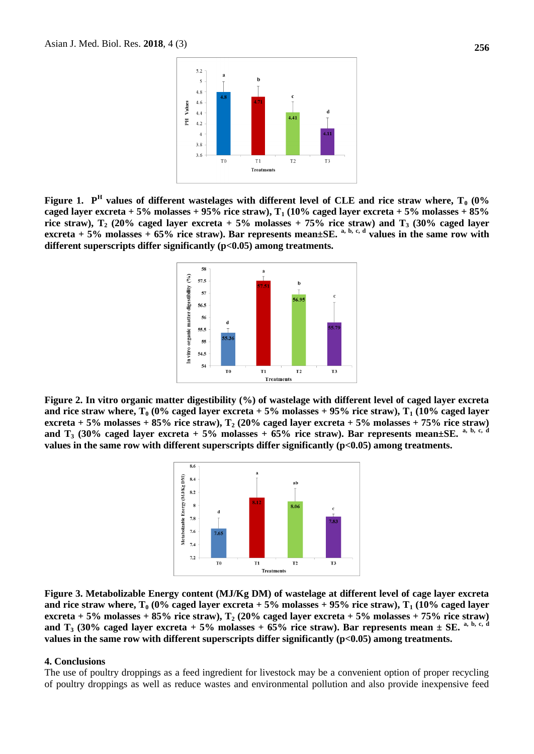

**Figure 1. P<sup>H</sup> values of different wastelages with different level of CLE and rice straw where, T<sup>0</sup> (0% caged layer excreta + 5% molasses + 95% rice straw), T<sup>1</sup> (10% caged layer excreta + 5% molasses + 85%**  rice straw),  $T_2$  (20% caged layer excreta + 5% molasses + 75% rice straw) and  $T_3$  (30% caged layer **excreta** + 5% molasses  $\frac{1}{2}$  65% rice straw). Bar represents mean±SE. <sup>a, b, c, d</sup> values in the same row with **different superscripts differ significantly (p<0.05) among treatments.**



**Figure 2. In vitro organic matter digestibility (%) of wastelage with different level of caged layer excreta and rice straw where, T<sub>0</sub> (0% caged layer excreta + 5% molasses + 95% rice straw), T<sub>1</sub> (10% caged layer excreta + 5% molasses + 85% rice straw), T<sup>2</sup> (20% caged layer excreta + 5% molasses + 75% rice straw)**  and T<sub>3</sub> (30% caged layer excreta + 5% molasses +  $65\%$  rice straw). Bar represents mean $\pm$ SE. <sup>a, b, c, d</sup> **values in the same row with different superscripts differ significantly (p<0.05) among treatments.**



**Figure 3. Metabolizable Energy content (MJ/Kg DM) of wastelage at different level of cage layer excreta**  and rice straw where,  $T_0$  (0% caged layer excreta + 5% molasses + 95% rice straw),  $T_1$  (10% caged layer **excreta + 5% molasses + 85% rice straw), T<sup>2</sup> (20% caged layer excreta + 5% molasses + 75% rice straw)**  and  $T_3$  (30% caged layer excreta + 5% molasses + 65% rice straw). Bar represents mean  $\pm$  SE. <sup>a, b, c, d</sup> **values in the same row with different superscripts differ significantly (p<0.05) among treatments.**

#### **4. Conclusions**

The use of poultry droppings as a feed ingredient for livestock may be a convenient option of proper recycling of poultry droppings as well as reduce wastes and environmental pollution and also provide inexpensive feed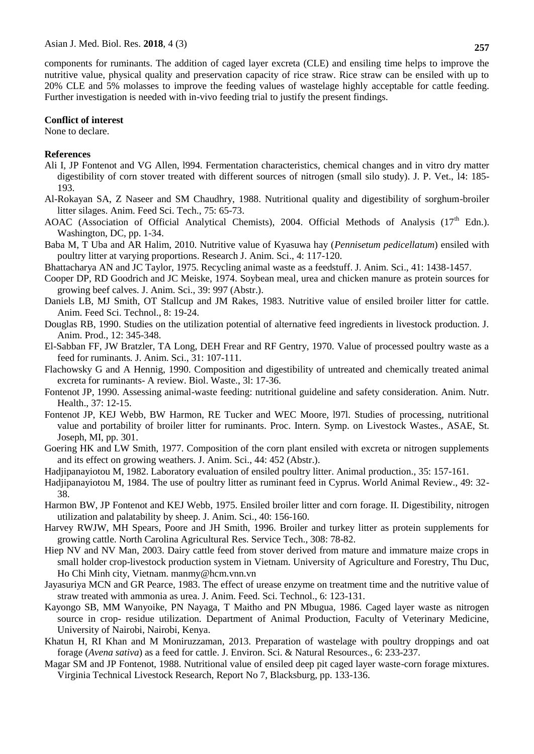components for ruminants. The addition of caged layer excreta (CLE) and ensiling time helps to improve the nutritive value, physical quality and preservation capacity of rice straw. Rice straw can be ensiled with up to 20% CLE and 5% molasses to improve the feeding values of wastelage highly acceptable for cattle feeding. Further investigation is needed with in-vivo feeding trial to justify the present findings.

#### **Conflict of interest**

None to declare.

#### **References**

- Ali I, JP Fontenot and VG Allen, l994. Fermentation characteristics, chemical changes and in vitro dry matter digestibility of corn stover treated with different sources of nitrogen (small silo study). J. P. Vet., l4: 185- 193.
- Al-Rokayan SA, Z Naseer and SM Chaudhry, 1988. Nutritional quality and digestibility of sorghum-broiler litter silages. Anim. Feed Sci. Tech., 75: 65-73.
- AOAC (Association of Official Analytical Chemists), 2004. Official Methods of Analysis (17<sup>th</sup> Edn.). Washington, DC, pp. 1-34.
- Baba M, T Uba and AR Halim, 2010. Nutritive value of Kyasuwa hay (*Pennisetum pedicellatum*) ensiled with poultry litter at varying proportions. Research J. Anim. Sci., 4: 117-120.
- Bhattacharya AN and JC Taylor, 1975. Recycling animal waste as a feedstuff. J. Anim. Sci., 41: 1438-1457.
- Cooper DP, RD Goodrich and JC Meiske, 1974. Soybean meal, urea and chicken manure as protein sources for growing beef calves*.* J. Anim. Sci., 39: 997 (Abstr.).
- Daniels LB, MJ Smith, OT Stallcup and JM Rakes, 1983. Nutritive value of ensiled broiler litter for cattle. Anim. Feed Sci. Technol., 8: 19-24.
- Douglas RB, 1990. Studies on the utilization potential of alternative feed ingredients in livestock production. J. Anim. Prod., 12: 345-348.
- El-Sabban FF, JW Bratzler, TA Long, DEH Frear and RF Gentry, 1970. Value of processed poultry waste as a feed for ruminants*.* J. Anim. Sci., 31: 107-111.
- Flachowsky G and A Hennig, 1990. Composition and digestibility of untreated and chemically treated animal excreta for ruminants- A review. Biol. Waste., 3l: 17-36.
- Fontenot JP, 1990. Assessing animal-waste feeding: nutritional guideline and safety consideration. Anim. Nutr. Health., 37: 12-15.
- Fontenot JP, KEJ Webb, BW Harmon, RE Tucker and WEC Moore, l97l. Studies of processing, nutritional value and portability of broiler litter for ruminants. Proc. Intern. Symp. on Livestock Wastes., ASAE, St. Joseph, MI, pp. 301.
- Goering HK and LW Smith, 1977. Composition of the corn plant ensiled with excreta or nitrogen supplements and its effect on growing weathers. J. Anim. Sci., 44: 452 (Abstr.).
- Hadjipanayiotou M, 1982. Laboratory evaluation of ensiled poultry litter. Animal production., 35: 157-161.
- Hadjipanayiotou M, 1984. The use of poultry litter as ruminant feed in Cyprus. World Animal Review., 49: 32- 38.
- Harmon BW, JP Fontenot and KEJ Webb, 1975. Ensiled broiler litter and corn forage. II. Digestibility, nitrogen utilization and palatability by sheep. J. Anim. Sci., 40: 156-160.
- Harvey RWJW, MH Spears, Poore and JH Smith, 1996. Broiler and turkey litter as protein supplements for growing cattle. North Carolina Agricultural Res. Service Tech., 308: 78-82.
- Hiep NV and NV Man, 2003. Dairy cattle feed from stover derived from mature and immature maize crops in small holder crop-livestock production system in Vietnam. University of Agriculture and Forestry, Thu Duc, Ho Chi Minh city, Vietnam. manmy@hcm.vnn.vn
- Jayasuriya MCN and GR Pearce, 1983. The effect of urease enzyme on treatment time and the nutritive value of straw treated with ammonia as urea. J. Anim. Feed. Sci. Technol., 6: 123-131.
- Kayongo SB, MM Wanyoike, PN Nayaga, T Maitho and PN Mbugua, 1986. Caged layer waste as nitrogen source in crop- residue utilization. Department of Animal Production, Faculty of Veterinary Medicine, University of Nairobi, Nairobi, Kenya.
- Khatun H, RI Khan and M Moniruzzaman, 2013. Preparation of wastelage with poultry droppings and oat forage (*Avena sativa*) as a feed for cattle. J. Environ. Sci. & Natural Resources., 6: 233-237.
- Magar SM and JP Fontenot, 1988. Nutritional value of ensiled deep pit caged layer waste-corn forage mixtures. Virginia Technical Livestock Research, Report No 7, Blacksburg, pp. 133-136.